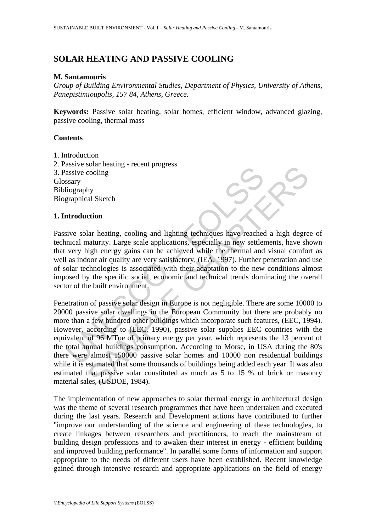# **SOLAR HEATING AND PASSIVE COOLING**

# **M. Santamouris**

*Group of Building Environmental Studies, Department of Physics, University of Athens, Panepistimioupolis, 157 84, Athens, Greece.* 

**Keywords:** Passive solar heating, solar homes, efficient window, advanced glazing, passive cooling, thermal mass

### **Contents**

- 1. Introduction
- 2. Passive solar heating recent progress 3. Passive cooling Glossary Bibliography Biographical Sketch

# **1. Introduction**

Passive solar heating, cooling and lighting techniques have reached a high degree of technical maturity. Large scale applications, especially in new settlements, have shown that very high energy gains can be achieved while the thermal and visual comfort as well as indoor air quality are very satisfactory, (IEA, 1997). Further penetration and use of solar technologies is associated with their adaptation to the new conditions almost imposed by the specific social, economic and technical trends dominating the overall sector of the built environment.

assive cooling<br>assive cooling<br>sasive cooling<br>sasive cooling<br>sasive cooling<br>assive cooling<br>assive cooling<br>assive solar heating, cooling and lighting techniques have reached<br>incident maturity. Large scale applications, espec booking<br>cooling<br>the al Sketch<br>tion<br>also also also aligning and lighting techniques have reached a high degre<br>anaturity. Large scale applications, especially in new settlements, have shigh energy gains can be achieved while Penetration of passive solar design in Europe is not negligible. There are some 10000 to 20000 passive solar dwellings in the European Community but there are probably no more than a few hundred other buildings which incorporate such features, (EEC, 1994). However, according to (EEC, 1990), passive solar supplies EEC countries with the equivalent of 96 MToe of primary energy per year, which represents the 13 percent of the total annual buildings consumption. According to Morse, in USA during the 80's there were almost 150000 passive solar homes and 10000 non residential buildings while it is estimated that some thousands of buildings being added each year. It was also estimated that passive solar constituted as much as 5 to 15 % of brick or masonry material sales, (USDOE, 1984).

The implementation of new approaches to solar thermal energy in architectural design was the theme of several research programmes that have been undertaken and executed during the last years. Research and Development actions have contributed to further "improve our understanding of the science and engineering of these technologies, to create linkages between researchers and practitioners, to reach the mainstream of building design professions and to awaken their interest in energy - efficient building and improved building performance". In parallel some forms of information and support appropriate to the needs of different users have been established. Recent knowledge gained through intensive research and appropriate applications on the field of energy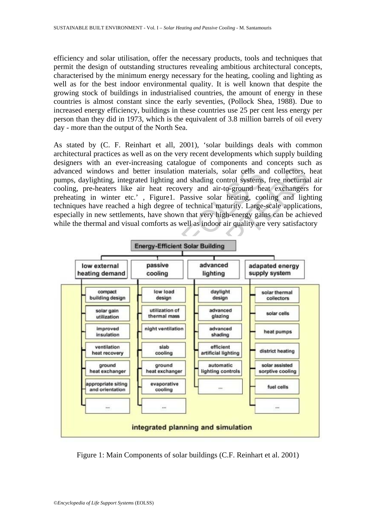efficiency and solar utilisation, offer the necessary products, tools and techniques that permit the design of outstanding structures revealing ambitious architectural concepts, characterised by the minimum energy necessary for the heating, cooling and lighting as well as for the best indoor environmental quality. It is well known that despite the growing stock of buildings in industrialised countries, the amount of energy in these countries is almost constant since the early seventies, (Pollock Shea, 1988). Due to increased energy efficiency, buildings in these countries use 25 per cent less energy per person than they did in 1973, which is the equivalent of 3.8 million barrels of oil every day - more than the output of the North Sea.

As stated by (C. F. Reinhart et all, 2001), 'solar buildings deals with common architectural practices as well as on the very recent developments which supply building designers with an ever-increasing catalogue of components and concepts such as advanced windows and better insulation materials, solar cells and collectors, heat pumps, daylighting, integrated lighting and shading control systems, free nocturnal air cooling, pre-heaters like air heat recovery and air-to-ground heat exchangers for preheating in winter etc.' , Figure1. Passive solar heating, cooling and lighting techniques have reached a high degree of technical maturity. Large-scale applications, especially in new settlements, have shown that very high-energy gains can be achieved while the thermal and visual comforts as well as indoor air quality are very satisfactory



Figure 1: Main Components of solar buildings (C.F. Reinhart et al. 2001)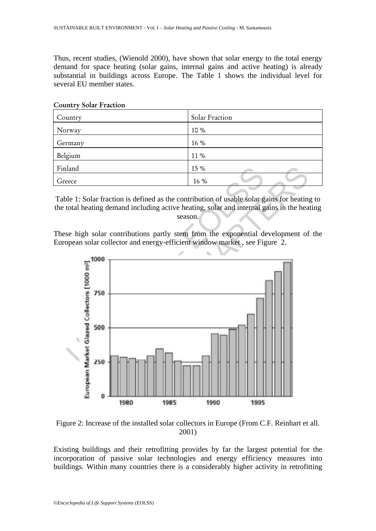Thus, recent studies, (Wienold 2000), have shown that solar energy to the total energy demand for space heating (solar gains, internal gains and active heating) is already substantial in buildings across Europe. The Table 1 shows the individual level for several EU member states.

| Country | Solar Fraction |
|---------|----------------|
| Norway  | 10 %           |
| Germany | 16 %           |
| Belgium | 11 %           |
| Finland | 15 %           |
| Greece  | 16 %           |

# Country Solar Fraction

Table 1: Solar fraction is defined as the contribution of usable solar gains for heating to the total heating demand including active heating, solar and internal gains in the heating season.

These high solar contributions partly stem from the exponential development of the European solar collector and energy-efficient window market , see Figure 2.



Figure 2: Increase of the installed solar collectors in Europe (From C.F. Reinhart et all. 2001)

Existing buildings and their retrofitting provides by far the largest potential for the incorporation of passive solar technologies and energy efficiency measures into buildings. Within many countries there is a considerably higher activity in retrofitting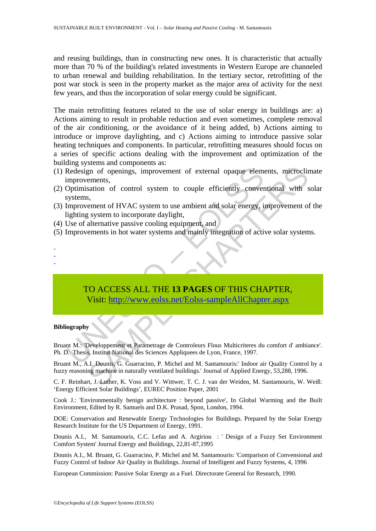and reusing buildings, than in constructing new ones. It is characteristic that actually more than 70 % of the building's related investments in Western Europe are channeled to urban renewal and building rehabilitation. In the tertiary sector, retrofitting of the post war stock is seen in the property market as the major area of activity for the next few years, and thus the incorporation of solar energy could be significant.

The main retrofitting features related to the use of solar energy in buildings are: a) Actions aiming to result in probable reduction and even sometimes, complete removal of the air conditioning, or the avoidance of it being added, b) Actions aiming to introduce or improve daylighting, and c) Actions aiming to introduce passive solar heating techniques and components. In particular, retrofitting measures should focus on a series of specific actions dealing with the improvement and optimization of the building systems and components as:

- (1) Redesign of openings, improvement of external opaque elements, microclimate improvements,
- (2) Optimisation of control system to couple efficiently conventional with solar systems,
- (3) Improvement of HVAC system to use ambient and solar energy, improvement of the lighting system to incorporate daylight,
- (4) Use of alternative passive cooling equipment, and
- (5) Improvements in hot water systems and mainly integration of active solar systems.
- Redesign of openings, improvement of external opaque elem<br>improvements,<br>Optimisation of control system to couple efficiently conver<br>systems,<br>Improvement of HVAC system to use ambient and solar energy, is<br>lighting system to mention of control aystem to the efficiently conventional with statements, microclinements,<br>
s, s, ement of HVAC system to use ambient and solar energy, improvement of<br>
system to incorporate daylight,<br>
s, s, ement of HVAC TO ACCESS ALL THE **13 PAGES** OF THIS CHAPTER, Visit: http://www.eolss.net/Eolss-sampleAllChapter.aspx

### **Bibliography**

- - -

Bruant M.: 'Developpement et Parametrage de Controleurs Flous Multicriteres du comfort d' ambiance'. Ph. D. Thesis, Institut National des Sciences Appliquees de Lyon, France, 1997.

Bruant M., A.I. Dounis, G. Guarracino, P. Michel and M. Santamouris:' Indoor air Quality Control by a fuzzy reasoning machine in naturally ventilated buildings.' Journal of Applied Energy, 53,288, 1996.

C. F. Reinhart, J. Luther, K. Voss and V. Wittwer, T. C. J. van der Weiden, M. Santamouris, W. Weiß: 'Energy Efficient Solar Buildings', EUREC Position Paper, 2001

Cook J.: 'Environmentally benign architecture : beyond passive', In Global Warming and the Built Environment, Edited by R. Samuels and D.K. Prasad, Spon, London, 1994.

DOE: Conservation and Renewable Energy Technologies for Buildings. Prepared by the Solar Energy Research Institute for the US Department of Energy, 1991.

Dounis A.I., M. Santamouris, C.C. Lefas and A. Argiriou : ' Design of a Fuzzy Set Environment Comfort System' Journal Energy and Buildings, 22,81-87,1995

Dounis A.I., M. Bruant, G. Guarracino, P. Michel and M. Santamouris: 'Comparison of Convensional and Fuzzy Control of Indoor Air Quality in Buildings. Journal of Intelligent and Fuzzy Systems, 4, 1996

European Commission: Passive Solar Energy as a Fuel. Directorate General for Research, 1990.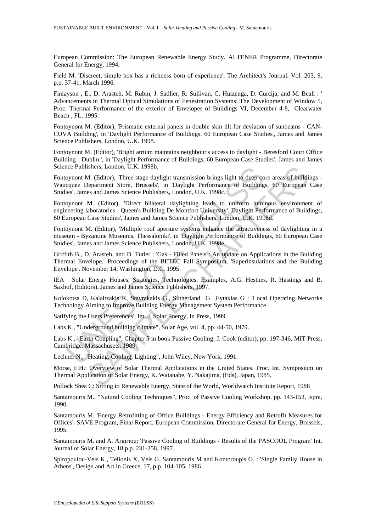European Commission: The European Renewable Energy Study. ALTENER Programme, Directorate General for Energy, 1994.

Field M. 'Discreet, simple box has a richness born of experience'. The Architect's Journal. Vol. 203, 9, p.p. 37-41, March 1996.

Finlayson , E., D. Arasteh, M. Rubin, J. Sadlier, R. Sullivan, C. Huizenga, D. Curcija, and M. Beall : ' Advancements in Thermal Optical Simulations of Fenestration Systems: The Development of Window 5, Proc. Thermal Performance of the exterior of Envelopes of Buildings VI, December 4-8, Clearwater Beach , FL. 1995.

Fontoynont M. (Editor), 'Prismatic external panels in double skin tilt for deviation of sunbeams - CAN-CUVA Building', in 'Daylight Performance of Buildings, 60 European Case Studies', James and James Science Publishers, London, U.K. 1998.

Fontoynont M. (Editor), 'Bright atrium maintains neighbour's access to daylight - Beresford Court Office Building - Dublin.', in 'Daylight Performance of Buildings, 60 European Case Studies', James and James Science Publishers, London, U.K. 1998b.

Fontoynont M. (Editor), 'Three stage daylight transmission brings light to deep core areas of buildings - Waucquez Department Store, Brussels', in 'Daylight Performance of Buildings, 60 European Case Studies', James and James Science Publishers, London, U.K. 1998c.

Fontoynont M. (Editor), 'Direct bilateral daylighting leads to uniform luminous environment of engineering laboratories - Queen's Building De Montfort University'. Daylight Performance of Buildings, 60 European Case Studies', James and James Science Publishers, London, U.K. 1998d.

ice Publishers, London, U.K. 1998b.<br>
oynont M. (Editor), Three stage daylight transmission brings light to deep co<br>
couse Department Store, Brussels', in 'Daylight Performance of Building<br>
equez Department Store, Brussels' ishers, London, U.K. 1998b.<br>
1. (Editor), Three stage daylight transmission brings light to deep core areas of building-<br>
2. (Editor). There stage daylight ransmission brings light to deep core areas of building-<br>
8. Pepar Fontoynont M. (Editor), 'Multiple roof aperture systems enhance the attractiveness of daylighting in a museum - Byzantine Museums, Thessaloniki', in 'Daylight Performance of Buildings, 60 European Case Studies', James and James Science Publishers, London, U.K. 1998e.

Griffith B., D. Arasteh, and D. Tutler : 'Gas - Filled Panels : An update on Applications in the Building Thermal Envelope.' Proceedings of the BETEC Fall Symposium, 'Superinsulations and the Building Envelope'. November 14, Washington, D.C. 1995.

IEA : Solar Energy Houses, Strategies, Technologies, Examples, A.G. Hestnes, R. Hastings and B. Saxhof, (Editors), James and James Science Publishers, 1997.

Kolokotsa D, Kalaitzakis K, Stavrakakis G., Sutherland G. ,Eytaxias G : 'Local Operating Networks Technology Aiming to Improve Building Energy Management System Performance

Satifying the Users Preferences', Int. J. Solar Energy, In Press, 1999.

Labs K., "Underground building climate", Solar Age, vol. 4, pp. 44-50, 1979.

Labs K., "Earth Coupling", Chapter 5 in book Passive Cooling. J. Cook (editor), pp. 197-346, MIT Press, Cambridge, Massachusets, 1989.

Lechner N., "Heating, Cooling, Lighting", John Wiley, New York, 1991.

Morse, F.H.: Overview of Solar Thermal Applications in the United States. Proc. Int. Symposium on Thermal Application of Solar Energy, K. Watanabe, Y. Nakajima, (Eds), Japan, 1985.

Pollock Shea C: Sifting to Renewable Energy, State of the World, Worldwatch Institute Report, 1988

Santamouris M., "Natural Cooling Techniques", Proc. of Passive Cooling Workshop, pp. 143-153, Ispra, 1990.

Santamouris M. 'Energy Retrofitting of Office Buildings - Energy Efficiency and Retrofit Measures for Offices'. SAVE Program, Final Report, European Commission, Directorate General for Energy, Brussels, 1995.

Santamouris M. and A. Argiriou: 'Passive Cooling of Buildings - Results of the PASCOOL Program' Int. Journal of Solar Energy, 18,p.p. 231-258, 1997.

Spiropoulou-Veis K., Telionis X, Veis G, Santamouris M and Kontoroupis G. : 'Single Family House in Athens', Design and Art in Greece, 17, p.p. 104-105, 1986